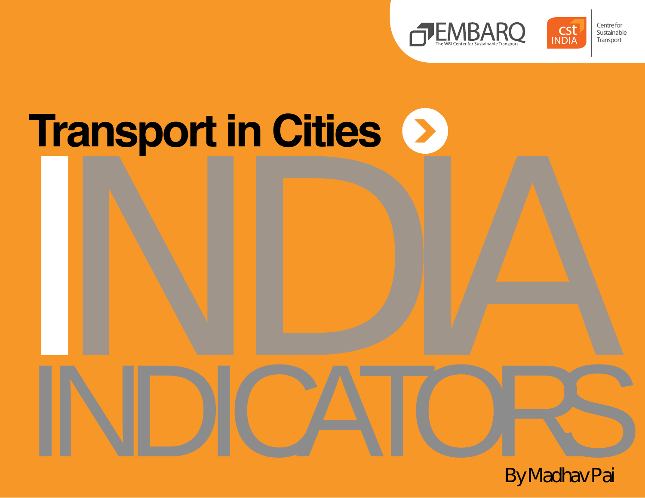



# **INDIA Transport in Cities**

INDICATORS By Madhav Pai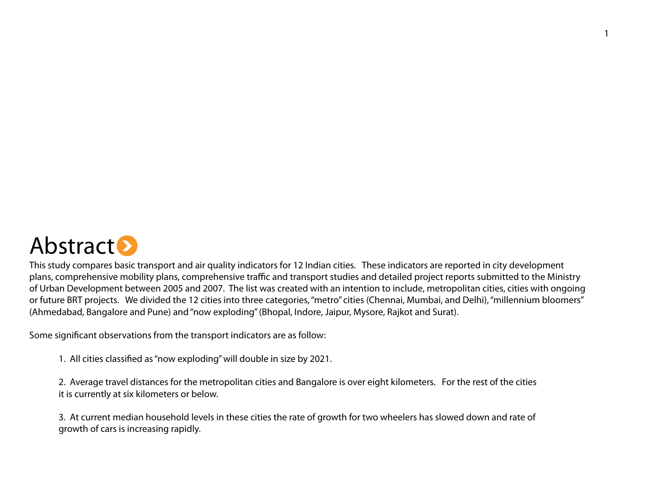

This study compares basic transport and air quality indicators for 12 Indian cities. These indicators are reported in city development plans, comprehensive mobility plans, comprehensive traffic and transport studies and detailed project reports submitted to the Ministry of Urban Development between 2005 and 2007. The list was created with an intention to include, metropolitan cities, cities with ongoing or future BRT projects. We divided the 12 cities into three categories, "metro" cities (Chennai, Mumbai, and Delhi), "millennium bloomers" (Ahmedabad, Bangalore and Pune) and "now exploding" (Bhopal, Indore, Jaipur, Mysore, Rajkot and Surat).

Some significant observations from the transport indicators are as follow:

1. All cities classified as "now exploding" will double in size by 2021.

2. Average travel distances for the metropolitan cities and Bangalore is over eight kilometers. For the rest of the cities it is currently at six kilometers or below.

3. At current median household levels in these cities the rate of growth for two wheelers has slowed down and rate of growth of cars is increasing rapidly.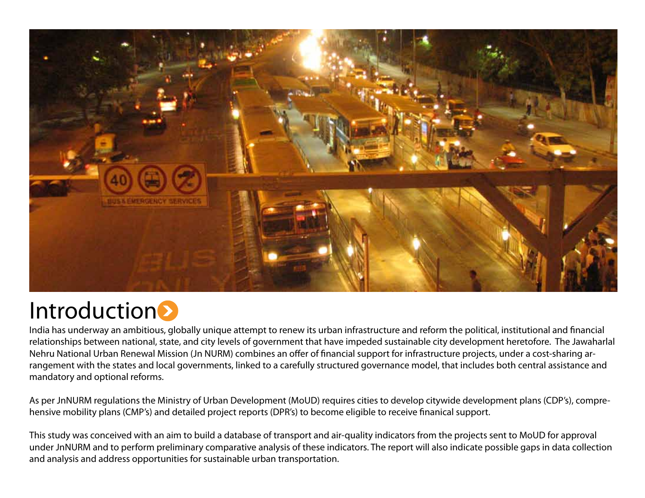

# **Introduction**

India has underway an ambitious, globally unique attempt to renew its urban infrastructure and reform the political, institutional and financial relationships between national, state, and city levels of government that have impeded sustainable city development heretofore. The Jawaharlal Nehru National Urban Renewal Mission (Jn NURM) combines an offer of financial support for infrastructure projects, under a cost-sharing arrangement with the states and local governments, linked to a carefully structured governance model, that includes both central assistance and mandatory and optional reforms.

As per JnNURM regulations the Ministry of Urban Development (MoUD) requires cities to develop citywide development plans (CDP's), comprehensive mobility plans (CMP's) and detailed project reports (DPR's) to become eligible to receive finanical support.

This study was conceived with an aim to build a database of transport and air-quality indicators from the projects sent to MoUD for approval under JnNURM and to perform preliminary comparative analysis of these indicators. The report will also indicate possible gaps in data collection and analysis and address opportunities for sustainable urban transportation.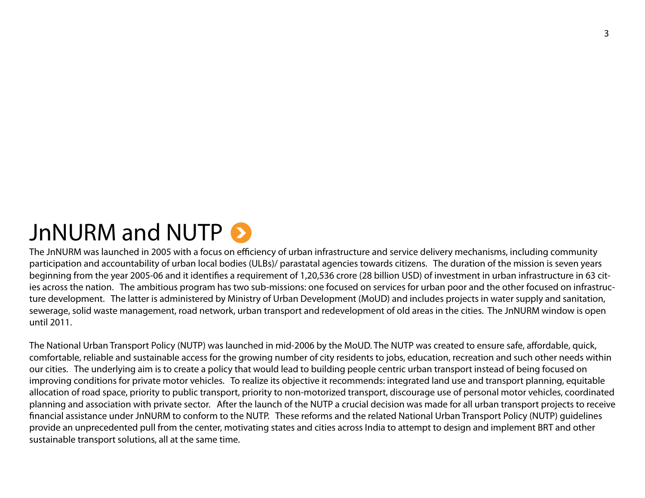# JnNURM and NUTP  $\odot$

The JnNURM was launched in 2005 with a focus on efficiency of urban infrastructure and service delivery mechanisms, including community participation and accountability of urban local bodies (ULBs)/ parastatal agencies towards citizens. The duration of the mission is seven years beginning from the year 2005-06 and it identifies a requirement of 1,20,536 crore (28 billion USD) of investment in urban infrastructure in 63 cities across the nation. The ambitious program has two sub-missions: one focused on services for urban poor and the other focused on infrastructure development. The latter is administered by Ministry of Urban Development (MoUD) and includes projects in water supply and sanitation, sewerage, solid waste management, road network, urban transport and redevelopment of old areas in the cities. The JnNURM window is open until 2011.

The National Urban Transport Policy (NUTP) was launched in mid-2006 by the MoUD. The NUTP was created to ensure safe, affordable, quick, comfortable, reliable and sustainable access for the growing number of city residents to jobs, education, recreation and such other needs within our cities. The underlying aim is to create a policy that would lead to building people centric urban transport instead of being focused on improving conditions for private motor vehicles. To realize its objective it recommends: integrated land use and transport planning, equitable allocation of road space, priority to public transport, priority to non-motorized transport, discourage use of personal motor vehicles, coordinated planning and association with private sector. After the launch of the NUTP a crucial decision was made for all urban transport projects to receive financial assistance under JnNURM to conform to the NUTP. These reforms and the related National Urban Transport Policy (NUTP) guidelines provide an unprecedented pull from the center, motivating states and cities across India to attempt to design and implement BRT and other sustainable transport solutions, all at the same time.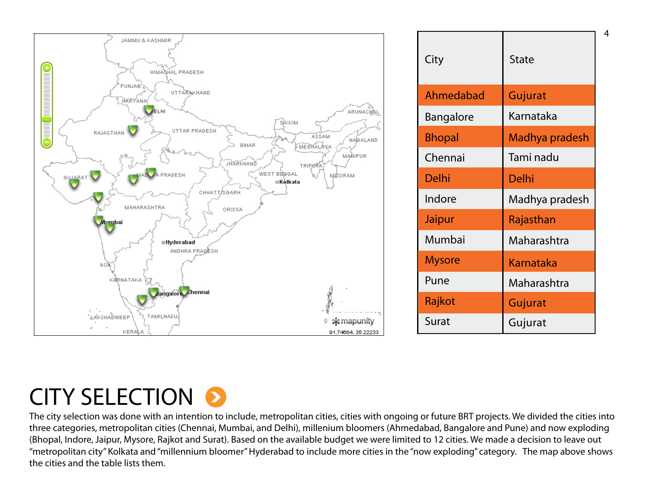

| City             | <b>State</b>     |
|------------------|------------------|
| Ahmedabad        | Gujurat          |
| <b>Bangalore</b> | Karnataka        |
| <b>Bhopal</b>    | Madhya pradesh   |
| Chennai          | Tami nadu        |
| Delhi            | Delhi            |
| Indore           | Madhya pradesh   |
| Jaipur           | Rajasthan        |
| Mumbai           | Maharashtra      |
| <b>Mysore</b>    | <b>Karnataka</b> |
| Pune             | Maharashtra      |
| Rajkot           | Gujurat          |
| Surat            | Gujurat          |

4

# CITY SELECTION 8

The city selection was done with an intention to include, metropolitan cities, cities with ongoing or future BRT projects. We divided the cities into three categories, metropolitan cities (Chennai, Mumbai, and Delhi), millenium bloomers (Ahmedabad, Bangalore and Pune) and now exploding (Bhopal, Indore, Jaipur, Mysore, Rajkot and Surat). Based on the available budget we were limited to 12 cities. We made a decision to leave out "metropolitan city" Kolkata and "millennium bloomer" Hyderabad to include more cities in the "now exploding" category. The map above shows the cities and the table lists them.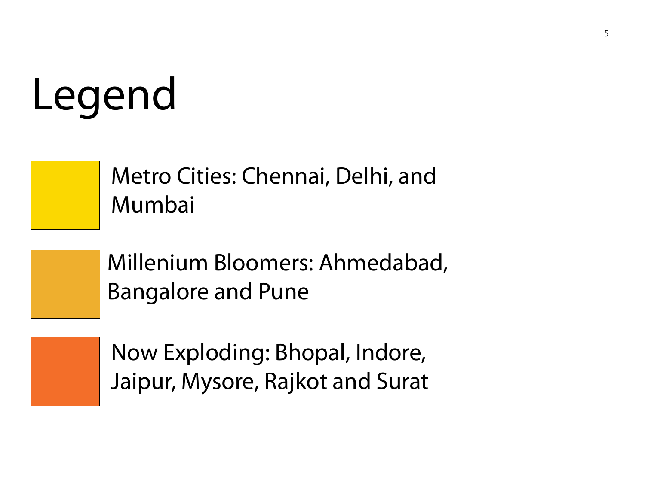# Legend



Metro Cities: Chennai, Delhi, and Mumbai



Millenium Bloomers: Ahmedabad, Bangalore and Pune



Now Exploding: Bhopal, Indore, Jaipur, Mysore, Rajkot and Surat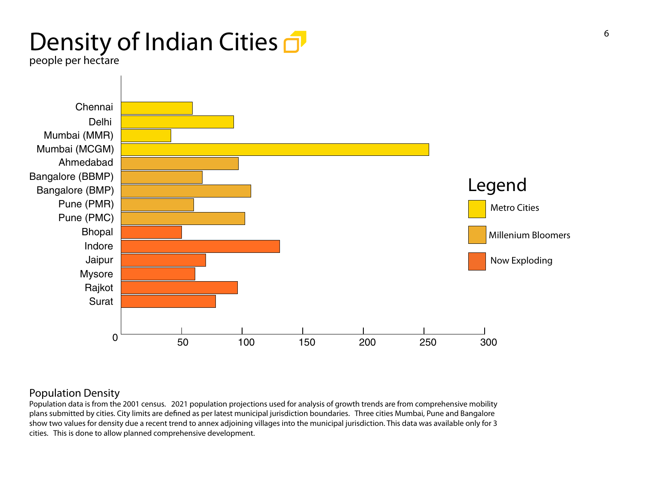# Density of Indian Cities **o**

people per hectare



### Population Density

Population data is from the 2001 census. 2021 population projections used for analysis of growth trends are from comprehensive mobility plans submitted by cities. City limits are defined as per latest municipal jurisdiction boundaries. Three cities Mumbai, Pune and Bangalore show two values for density due a recent trend to annex adjoining villages into the municipal jurisdiction. This data was available only for 3 cities. This is done to allow planned comprehensive development.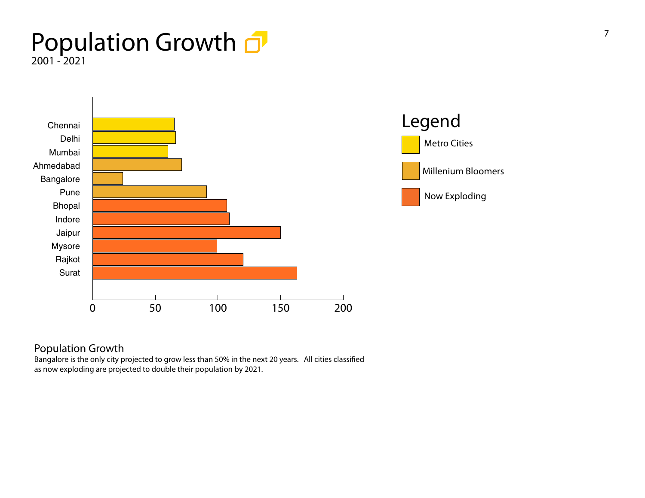### Population Growth  $\Box$ 2001 - 2021





### Population Growth

Bangalore is the only city projected to grow less than 50% in the next 20 years. All cities classified as now exploding are projected to double their population by 2021.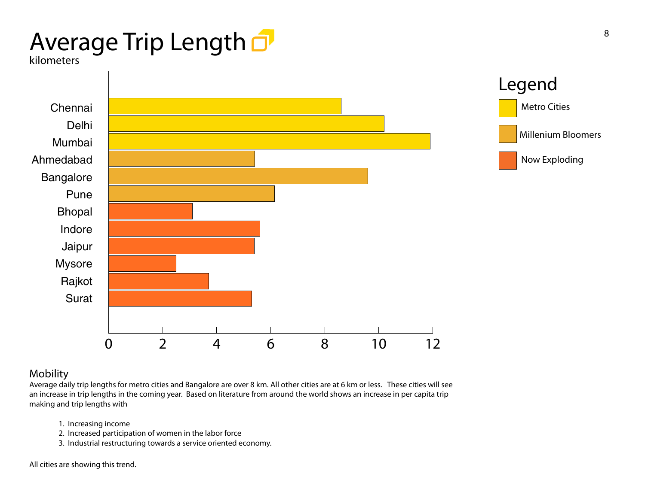# Average Trip Length O

kilometers



### Mobility

Average daily trip lengths for metro cities and Bangalore are over 8 km. All other cities are at 6 km or less. These cities will see an increase in trip lengths in the coming year. Based on literature from around the world shows an increase in per capita trip making and trip lengths with

- 1. Increasing income
- 2. Increased participation of women in the labor force
- 3. Industrial restructuring towards a service oriented economy.

All cities are showing this trend.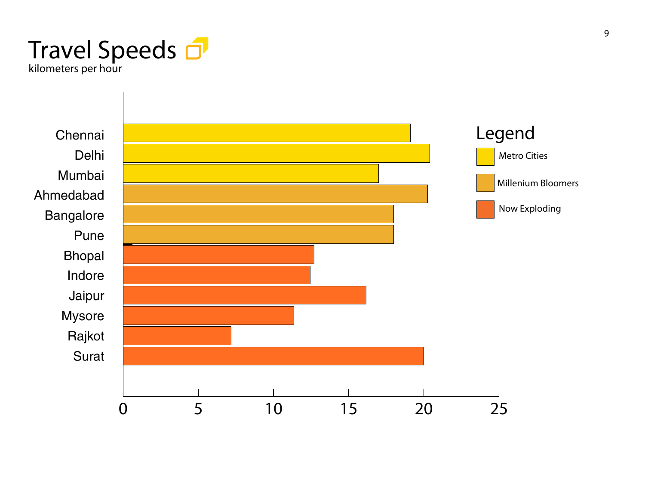

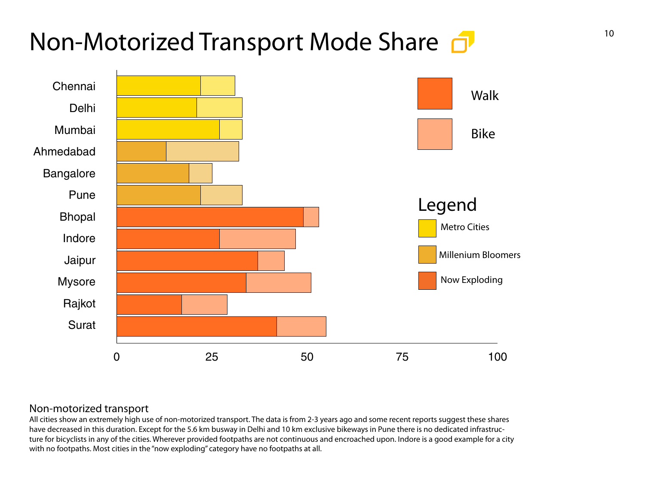# Non-Motorized Transport Mode Share  $\overline{a}$



### Non-motorized transport

All cities show an extremely high use of non-motorized transport. The data is from 2-3 years ago and some recent reports suggest these shares have decreased in this duration. Except for the 5.6 km busway in Delhi and 10 km exclusive bikeways in Pune there is no dedicated infrastructure for bicyclists in any of the cities. Wherever provided footpaths are not continuous and encroached upon. Indore is a good example for a city with no footpaths. Most cities in the "now exploding" category have no footpaths at all.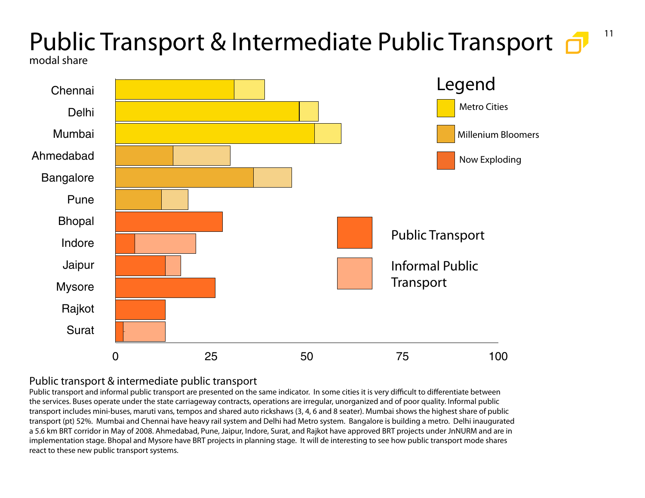### 11 Public Transport & Intermediate Public Transport modal share



### Public transport & intermediate public transport

Public transport and informal public transport are presented on the same indicator. In some cities it is very difficult to differentiate between the services. Buses operate under the state carriageway contracts, operations are irregular, unorganized and of poor quality. Informal public transport includes mini-buses, maruti vans, tempos and shared auto rickshaws (3, 4, 6 and 8 seater). Mumbai shows the highest share of public transport (pt) 52%. Mumbai and Chennai have heavy rail system and Delhi had Metro system. Bangalore is building a metro. Delhi inaugurated a 5.6 km BRT corridor in May of 2008. Ahmedabad, Pune, Jaipur, Indore, Surat, and Rajkot have approved BRT projects under JnNURM and are in implementation stage. Bhopal and Mysore have BRT projects in planning stage. It will de interesting to see how public transport mode shares react to these new public transport systems.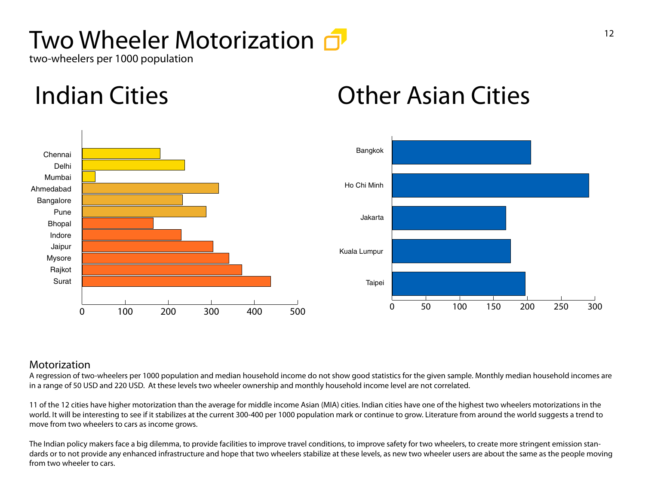# Two Wheeler Motorization  $\overline{d}$

two-wheelers per 1000 population

# Indian Cities Other Asian Cities



### Motorization

A regression of two-wheelers per 1000 population and median household income do not show good statistics for the given sample. Monthly median household incomes are in a range of 50 USD and 220 USD. At these levels two wheeler ownership and monthly household income level are not correlated.

11 of the 12 cities have higher motorization than the average for middle income Asian (MIA) cities. Indian cities have one of the highest two wheelers motorizations in the world. It will be interesting to see if it stabilizes at the current 300-400 per 1000 population mark or continue to grow. Literature from around the world suggests a trend to move from two wheelers to cars as income grows.

The Indian policy makers face a big dilemma, to provide facilities to improve travel conditions, to improve safety for two wheelers, to create more stringent emission standards or to not provide any enhanced infrastructure and hope that two wheelers stabilize at these levels, as new two wheeler users are about the same as the people moving from two wheeler to cars.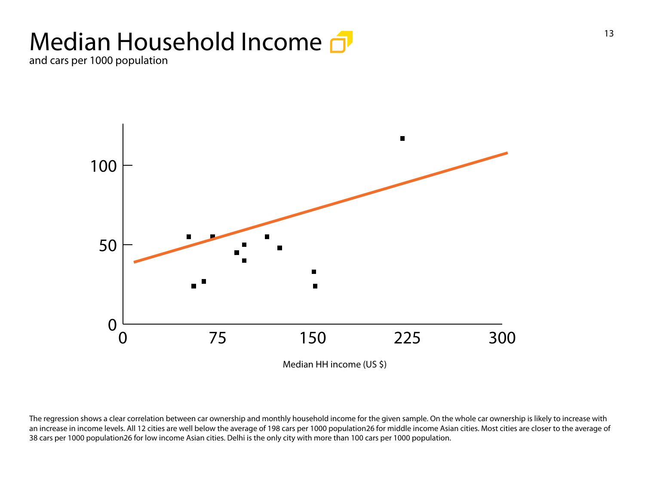# Median Household Income  $\Box$

and cars per 1000 population



The regression shows a clear correlation between car ownership and monthly household income for the given sample. On the whole car ownership is likely to increase with an increase in income levels. All 12 cities are well below the average of 198 cars per 1000 population26 for middle income Asian cities. Most cities are closer to the average of 38 cars per 1000 population26 for low income Asian cities. Delhi is the only city with more than 100 cars per 1000 population.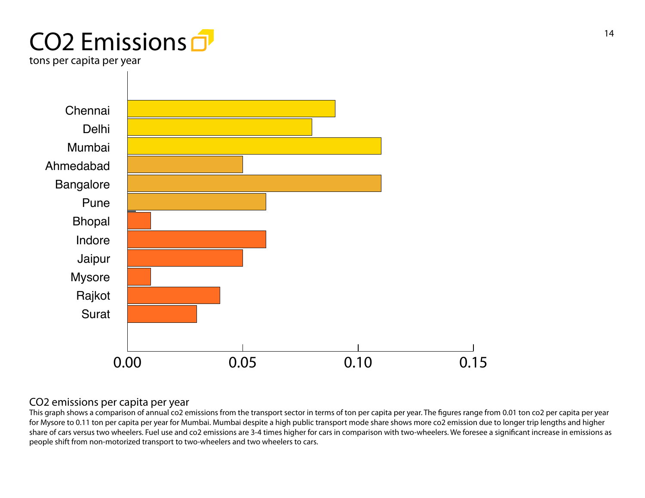# CO2 Emissions  $\overline{1}$ <sup>14</sup>

tons per capita per year



### CO2 emissions per capita per year

This graph shows a comparison of annual co2 emissions from the transport sector in terms of ton per capita per year. The figures range from 0.01 ton co2 per capita per year for Mysore to 0.11 ton per capita per year for Mumbai. Mumbai despite a high public transport mode share shows more co2 emission due to longer trip lengths and higher share of cars versus two wheelers. Fuel use and co2 emissions are 3-4 times higher for cars in comparison with two-wheelers. We foresee a significant increase in emissions as people shift from non-motorized transport to two-wheelers and two wheelers to cars.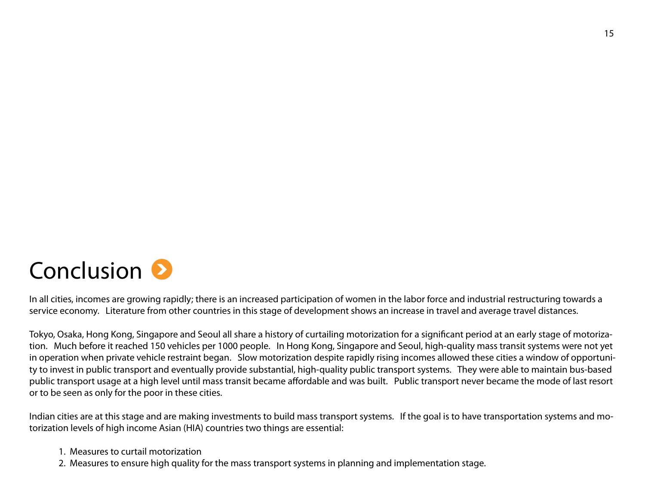

In all cities, incomes are growing rapidly; there is an increased participation of women in the labor force and industrial restructuring towards a service economy. Literature from other countries in this stage of development shows an increase in travel and average travel distances.

Tokyo, Osaka, Hong Kong, Singapore and Seoul all share a history of curtailing motorization for a significant period at an early stage of motorization. Much before it reached 150 vehicles per 1000 people. In Hong Kong, Singapore and Seoul, high-quality mass transit systems were not yet in operation when private vehicle restraint began. Slow motorization despite rapidly rising incomes allowed these cities a window of opportunity to invest in public transport and eventually provide substantial, high-quality public transport systems. They were able to maintain bus-based public transport usage at a high level until mass transit became affordable and was built. Public transport never became the mode of last resort or to be seen as only for the poor in these cities.

Indian cities are at this stage and are making investments to build mass transport systems. If the goal is to have transportation systems and motorization levels of high income Asian (HIA) countries two things are essential:

- 1. Measures to curtail motorization
- 2. Measures to ensure high quality for the mass transport systems in planning and implementation stage.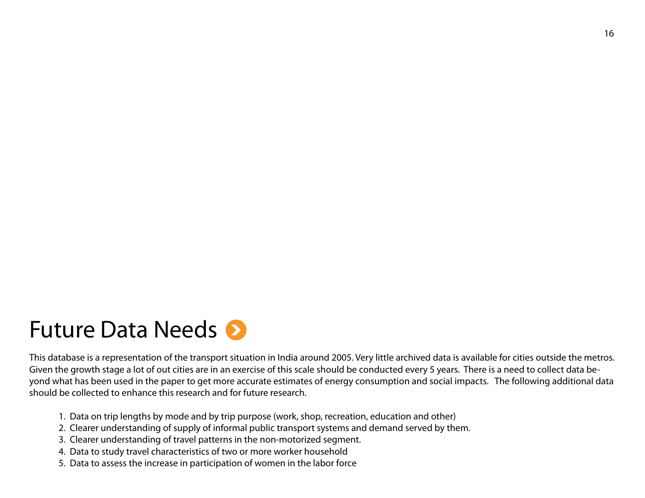## Future Data Needs  $\bullet$

This database is a representation of the transport situation in India around 2005. Very little archived data is available for cities outside the metros. Given the growth stage a lot of out cities are in an exercise of this scale should be conducted every 5 years. There is a need to collect data beyond what has been used in the paper to get more accurate estimates of energy consumption and social impacts. The following additional data should be collected to enhance this research and for future research.

- 1. Data on trip lengths by mode and by trip purpose (work, shop, recreation, education and other)
- 2. Clearer understanding of supply of informal public transport systems and demand served by them.
- 3. Clearer understanding of travel patterns in the non-motorized segment.
- 4. Data to study travel characteristics of two or more worker household
- 5. Data to assess the increase in participation of women in the labor force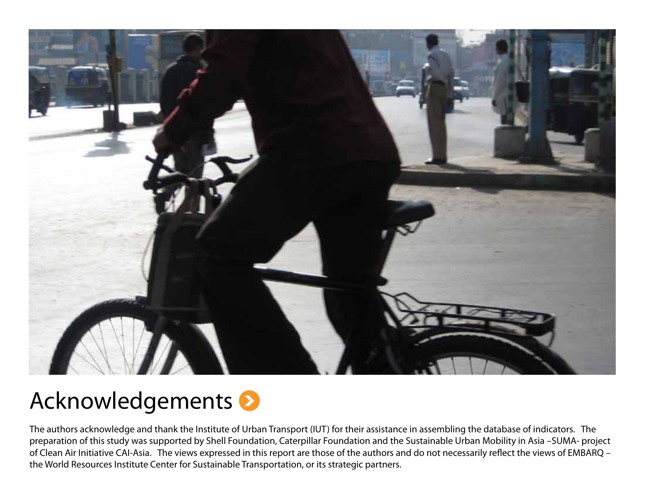

# Acknowledgements

The authors acknowledge and thank the Institute of Urban Transport (IUT) for their assistance in assembling the database of indicators. The preparation of this study was supported by Shell Foundation, Caterpillar Foundation and the Sustainable Urban Mobility in Asia –SUMA- project of Clean Air Initiative CAI-Asia. The views expressed in this report are those of the authors and do not necessarily reflect the views of EMBARQ – the World Resources Institute Center for Sustainable Transportation, or its strategic partners.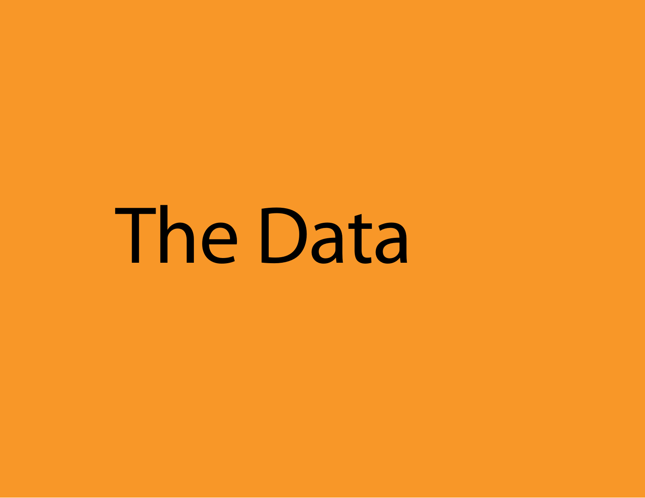The Data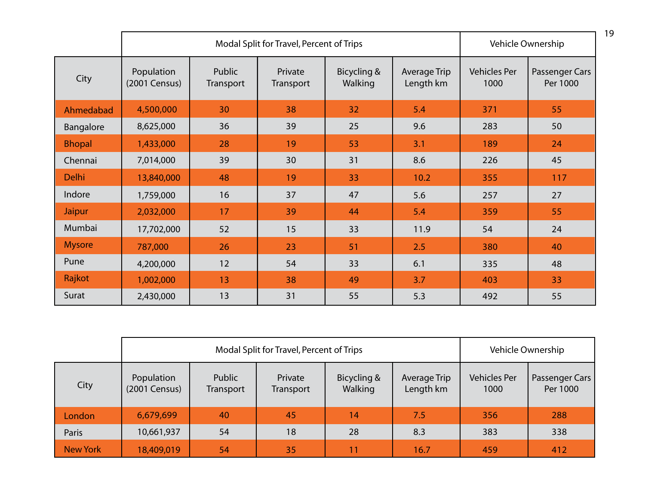|               |                             | Modal Split for Travel, Percent of Trips | Vehicle Ownership    |                        |                           |                             |                            |
|---------------|-----------------------------|------------------------------------------|----------------------|------------------------|---------------------------|-----------------------------|----------------------------|
| City          | Population<br>(2001 Census) | Public<br>Transport                      | Private<br>Transport | Bicycling &<br>Walking | Average Trip<br>Length km | <b>Vehicles Per</b><br>1000 | Passenger Cars<br>Per 1000 |
| Ahmedabad     | 4,500,000                   | 30                                       | 38                   | 32                     | 5.4                       | 371                         | 55                         |
| Bangalore     | 8,625,000                   | 36                                       | 39                   | 25                     | 9.6                       | 283                         | 50                         |
| <b>Bhopal</b> | 1,433,000                   | 28                                       | 19                   | 53                     | 3.1                       | 189                         | 24                         |
| Chennai       | 7,014,000                   | 39                                       | 30                   | 31                     | 8.6                       | 226                         | 45                         |
| <b>Delhi</b>  | 13,840,000                  | 48                                       | 19                   | 33                     | 10.2                      | 355                         | 117                        |
| Indore        | 1,759,000                   | 16                                       | 37                   | 47                     | 5.6                       | 257                         | 27                         |
| Jaipur        | 2,032,000                   | 17                                       | 39                   | 44                     | 5.4                       | 359                         | 55                         |
| Mumbai        | 17,702,000                  | 52                                       | 15                   | 33                     | 11.9                      | 54                          | 24                         |
| <b>Mysore</b> | 787,000                     | 26                                       | 23                   | 51                     | 2.5                       | 380                         | 40                         |
| Pune          | 4,200,000                   | 12                                       | 54                   | 33                     | 6.1                       | 335                         | 48                         |
| Rajkot        | 1,002,000                   | 13                                       | 38                   | 49                     | 3.7                       | 403                         | 33                         |
| Surat         | 2,430,000                   | 13                                       | 31                   | 55                     | 5.3                       | 492                         | 55                         |

|                 | Modal Split for Travel, Percent of Trips |                     |                      |                        |                           | Vehicle Ownership           |                            |
|-----------------|------------------------------------------|---------------------|----------------------|------------------------|---------------------------|-----------------------------|----------------------------|
| City            | Population<br>(2001 Census)              | Public<br>Transport | Private<br>Transport | Bicycling &<br>Walking | Average Trip<br>Length km | <b>Vehicles Per</b><br>1000 | Passenger Cars<br>Per 1000 |
| London          | 6,679,699                                | 40                  | 45                   | 14                     | 7.5                       | 356                         | 288                        |
| Paris           | 10,661,937                               | 54                  | 18                   | 28                     | 8.3                       | 383                         | 338                        |
| <b>New York</b> | 18,409,019                               | 54                  | 35                   | 11                     | 16.7                      | 459                         | 412                        |